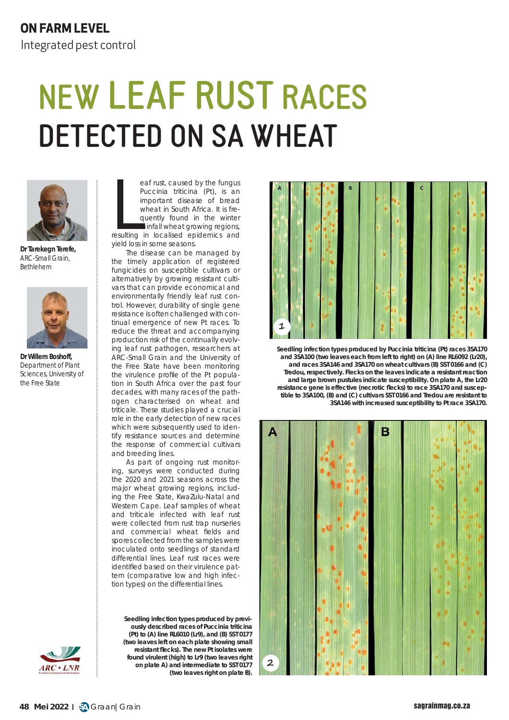## **ON FARM LEVEL**

Integrated pest control

## **NEW LEAF RUST RACES DETECTED ON SA WHEAT**



**Dr Tarekegn Terefe,** ARC-Small Grain, Bethlehem



**Dr Willem Boshoff,** Department of Plant Sciences, University of the Free State

eaf rust, caused by the fungus<br>
Puccinia triticina (Pt), is an<br>
important disease of bread<br>
wheat in South Africa. It is fre-<br>
quently found in the winter<br>
rainfall wheat growing regions,<br>
resulting in localised epidemics eaf rust, caused by the fungus *Puccinia triticina* (*Pt*), is an important disease of bread wheat in South Africa. It is frequently found in the winter rainfall wheat growing regions,

yield loss in some seasons.

The disease can be managed by the timely application of registered fungicides on susceptible cultivars or alternatively by growing resistant cultivars that can provide economical and environmentally friendly leaf rust control. However, durability of single gene resistance is often challenged with continual emergence of new *Pt* races. To reduce the threat and accompanying production risk of the continually evolving leaf rust pathogen, researchers at ARC-Small Grain and the University of the Free State have been monitoring the virulence profile of the *Pt* population in South Africa over the past four decades, with many races of the pathogen characterised on wheat and triticale. These studies played a crucial role in the early detection of new races which were subsequently used to identify resistance sources and determine the response of commercial cultivars and breeding lines.

As part of ongoing rust monitoring, surveys were conducted during the 2020 and 2021 seasons across the major wheat growing regions, including the Free State, KwaZulu-Natal and Western Cape. Leaf samples of wheat and triticale infected with leaf rust were collected from rust trap nurseries and commercial wheat fields and spores collected from the samples were inoculated onto seedlings of standard differential lines. Leaf rust races were identified based on their virulence pattern (comparative low and high infection types) on the differential lines.

**Seedling infection types produced by previously described races of** *Puccinia triticina* **(***Pt***) to (A) line RL6010 (***Lr9***), and (B) SST 0177 (two leaves left on each plate showing small resistant fl ecks). The new** *Pt* **isolates were found virulent (high) to** *Lr9* **(two leaves right on plate A) and intermediate to SST 0177 (two leaves right on plate B).**



**Seedling infection types produced by** *Puccinia triticina* **(***Pt***) races 3SA170 and 3SA100 (two leaves each from left to right) on (A) line RL6092 (***Lr20***), and races 3SA146 and 3SA170 on wheat cultivars (B) SST 0166 and (C) Tredou, respectively. Flecks on the leaves indicate a resistant reaction and large brown pustules indicate susceptibility. On plate A, the** *Lr20* resistance gene is effective (necrotic flecks) to race 3SA170 and suscep**tible to 3SA100, (B) and (C) cultivars SST 0166 and Tredou are resistant to 3SA146 with increased susceptibility to** *Pt* **race 3SA170.**